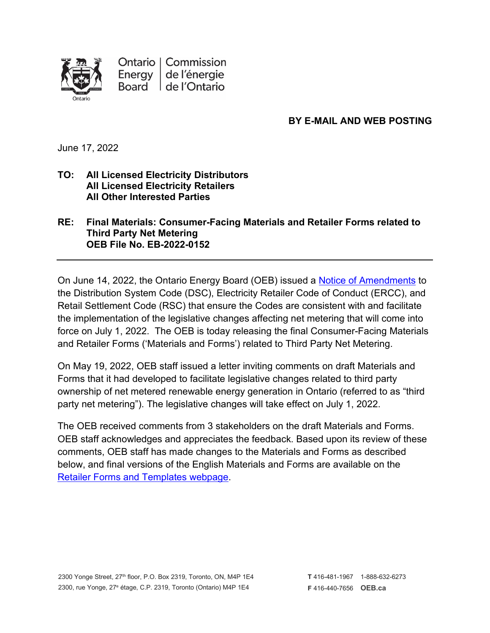

Ontario | Commission Energy | de l'énergie Board | de l'Ontario

# **BY E-MAIL AND WEB POSTING**

June 17, 2022

#### **TO: All Licensed Electricity Distributors All Licensed Electricity Retailers All Other Interested Parties**

**RE: Final Materials: Consumer-Facing Materials and Retailer Forms related to Third Party Net Metering OEB File No. EB-2022-0152**

On June 14, 2022, the Ontario Energy Board (OEB) issued a [Notice of Amendments](https://www.oeb.ca/sites/default/files/Notice-of-Amendments-DSC-ERCC-RSC-20220614.pdf) to the Distribution System Code (DSC), Electricity Retailer Code of Conduct (ERCC), and Retail Settlement Code (RSC) that ensure the Codes are consistent with and facilitate the implementation of the legislative changes affecting net metering that will come into force on July 1, 2022. The OEB is today releasing the final Consumer-Facing Materials and Retailer Forms ('Materials and Forms') related to Third Party Net Metering.

On May 19, 2022, OEB staff issued a letter inviting comments on draft Materials and Forms that it had developed to facilitate legislative changes related to third party ownership of net metered renewable energy generation in Ontario (referred to as "third party net metering"). The legislative changes will take effect on July 1, 2022.

The OEB received comments from 3 stakeholders on the draft Materials and Forms. OEB staff acknowledges and appreciates the feedback. Based upon its review of these comments, OEB staff has made changes to the Materials and Forms as described below, and final versions of the English Materials and Forms are available on the [Retailer](https://www.oeb.ca/regulatory-rules-and-documents/rules-codes-and-requirements/forms-and-templates-energy-contracts) Forms and Templates webpage.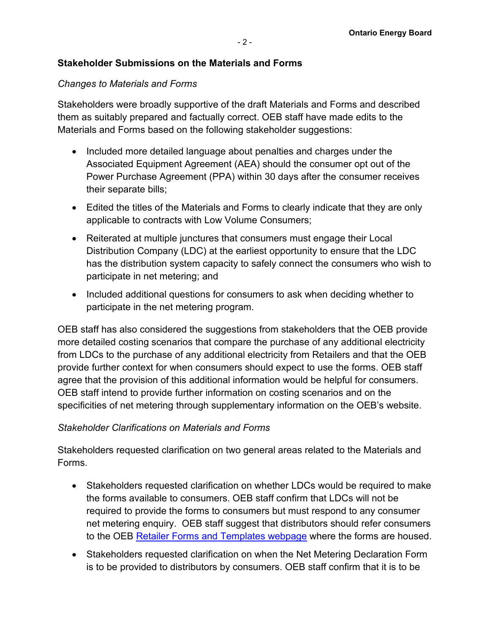## **Stakeholder Submissions on the Materials and Forms**

#### *Changes to Materials and Forms*

Stakeholders were broadly supportive of the draft Materials and Forms and described them as suitably prepared and factually correct. OEB staff have made edits to the Materials and Forms based on the following stakeholder suggestions:

- Included more detailed language about penalties and charges under the Associated Equipment Agreement (AEA) should the consumer opt out of the Power Purchase Agreement (PPA) within 30 days after the consumer receives their separate bills;
- Edited the titles of the Materials and Forms to clearly indicate that they are only applicable to contracts with Low Volume Consumers;
- Reiterated at multiple junctures that consumers must engage their Local Distribution Company (LDC) at the earliest opportunity to ensure that the LDC has the distribution system capacity to safely connect the consumers who wish to participate in net metering; and
- Included additional questions for consumers to ask when deciding whether to participate in the net metering program.

OEB staff has also considered the suggestions from stakeholders that the OEB provide more detailed costing scenarios that compare the purchase of any additional electricity from LDCs to the purchase of any additional electricity from Retailers and that the OEB provide further context for when consumers should expect to use the forms. OEB staff agree that the provision of this additional information would be helpful for consumers. OEB staff intend to provide further information on costing scenarios and on the specificities of net metering through supplementary information on the OEB's website.

## *Stakeholder Clarifications on Materials and Forms*

Stakeholders requested clarification on two general areas related to the Materials and Forms.

- Stakeholders requested clarification on whether LDCs would be required to make the forms available to consumers. OEB staff confirm that LDCs will not be required to provide the forms to consumers but must respond to any consumer net metering enquiry. OEB staff suggest that distributors should refer consumers to the OEB [Retailer](https://www.oeb.ca/regulatory-rules-and-documents/rules-codes-and-requirements/forms-and-templates-energy-contracts) Forms and Templates webpage where the forms are housed.
- Stakeholders requested clarification on when the Net Metering Declaration Form is to be provided to distributors by consumers. OEB staff confirm that it is to be